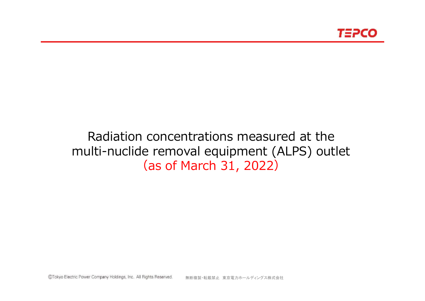

# Radiation concentrations measured at the multi-nuclide removal equipment (ALPS) outlet (as of March 31, 2022)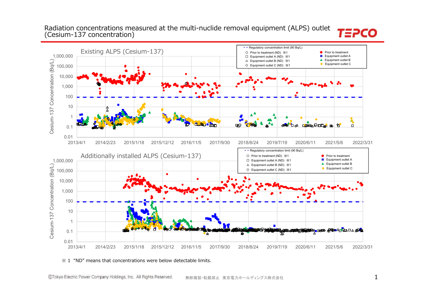### Radiation concentrations measured at the multi-nuclide removal equipment (ALPS) outlet (Cesium-137 concentration)

#### **- -** Regulatory concentration limit (90 Bq/L) Existing ALPS (Cesium-137) **Prior to treatment** 〇 Prior to treatment (ND) ※1 ● $1,000,000$ <br>  $\underline{1,000}$ <br>  $\underline{1,000}$ <br>  $10,000$ <br>  $1,000$ <br>  $1,000$ <br>  $1,000$ <br>  $1,000$ <br>  $1,000$ <br>  $1,000$ <br>  $1,000$ <br>  $1,000$ <br>  $1,000$ <br>  $1,000$ <br>  $1,000$ <br>  $1,000$ <br>  $1,000$ ■ Equipment outlet A □ Equipment outlet A (ND) ※1 ▲ Equipment outlet B △ Equipment outlet B (ND) ※1 
<br>
▲ Equipment outlet B Cesium-137 Concentration (Bq/L) ◆ Equipment outlet C  $\Diamond$  Equipment outlet C (ND)  $\divideontimes$ 1 100,000 10,000 1,000 100 10 1**COMMPTO A B DD**  $\Delta$  $\mathbf{P}$ ň 0.1 0.012013/4/1 2014/2/23 2015/1/18 2015/12/12 2016/11/5 2017/9/30 2018/8/24 2019/7/19 2020/6/11 2021/5/6 2022/3/31**- -** Regulatory concentration limit (90 Bq/L) Additionally installed ALPS (Cesium-137) **Prior to treatment** 〇 Prior to treatment (ND) ※1 ●1,000,000 ■ Equipment outlet A □ Equipment outlet A (ND) ※1 ▲ Equipment outlet B Cesium-137 Concentration (Bq/L) △ Equipment outlet B (ND) ※1 <br>
▲ Equipment outlet B Cesium-137 Concentration (Bq/L) ◆ Equipment outlet C  $\diamondsuit$  Equipment outlet C (ND)  $\divideontimes$ 1  $\diamondsuit$  Equipment outlet C 100,000 10,000 1,000 10010 1 **SHERMAN AREA AND AREA AND A COMMUNICATION** 0.1  $\overline{\bullet}$ 0.012013/4/1 2014/2/23 2015/1/18 2015/12/12 2016/11/5 2017/9/30 2018/8/24 2019/7/19 2020/6/11 2021/5/6 2022/3/31

#### $\frac{1}{2}$  1 "ND" means that concentrations were below detectable limits.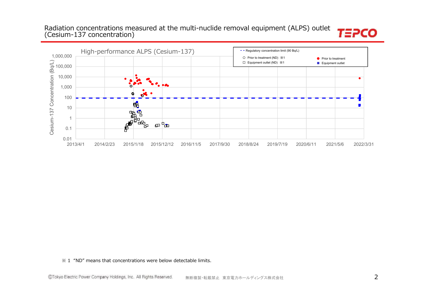# Radiation concentrations measured at the multi-nuclide removal equipment (ALPS) outlet (Cesium-137 concentration)



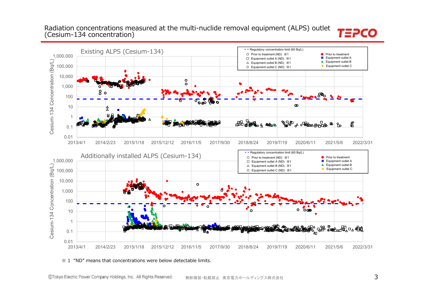### Radiation concentrations measured at the multi-nuclide removal equipment (ALPS) outlet (Cesium-134 concentration)

#### Existing ALPS (Cesium-134) **- -** Regulatory concentration limit (60 Bq/L) **Prior to treatment** 〇 Prior to treatment (ND) ※1 $\overline{1}$  and  $\overline{0}$  $1,000,000$ <br>  $\underline{1,000}$ <br>  $\underline{1,000}$ <br>  $1,000$ <br>  $1,000$ <br>  $1,000$ <br>  $1,000$ <br>  $1,000$ <br>  $1,000$ <br>  $1,000$ <br>  $1,000$ <br>  $1,000$ <br>  $1,000$ <br>  $1,000$ <br>  $1,000$ <br>  $1,000$ <br>  $1,000$ ■ Equipment outlet A □ Equipment outlet A (ND) ※1 Cesium-134 Concentration (Bq/L) ▲ Equipment outlet B △ Equipment outlet B (ND) ※1 100,000 ◆ Equipment outlet C  $\diamondsuit$  Equipment outlet C (ND)  $\divideontimes$ 1  $\diamondsuit$  Equipment outlet C 10,000  $\circ$  $\circ$ 1,000 o 8 **o** 100 ൦๏  $\bullet$  $\infty$ 10 1 $\frac{1}{2}$ **POLICE & PERMISSION &** இ 0.1 0.012013/4/1 2014/2/23 2015/1/18 2015/12/12 2016/11/5 2017/9/30 2018/8/24 2019/7/19 2020/6/11 2021/5/6 2022/3/31**- -** Regulatory concentration limit (60 Bq/L) Additionally installed ALPS (Cesium-134) **Prior to treatment** 〇 Prior to treatment (ND) ※1 ●1,000,000 ■ Equipment outlet A □ Equipment outlet A (ND) ※1 ▲ Equipment outlet B Cesium-134 Concentration (Bq/L) Cesium-134 Concentration (Bq/L) △ Equipment outlet B (ND) ※1 ◆ Equipment outlet C  $\Diamond$  Equipment outlet C (ND)  $\divideontimes$  1 100,000 10,000  $\circ$ 1,000 100 $\circ$   $\circ$  $\epsilon$ 10 1 **ARA BOOKER DA CAR** 0.1 0.012013/4/1 2014/2/23 2015/1/18 2015/12/12 2016/11/5 2017/9/30 2018/8/24 2019/7/19 2020/6/11 2021/5/6 2022/3/31

#### $\frac{1}{2}$  1 "ND" means that concentrations were below detectable limits.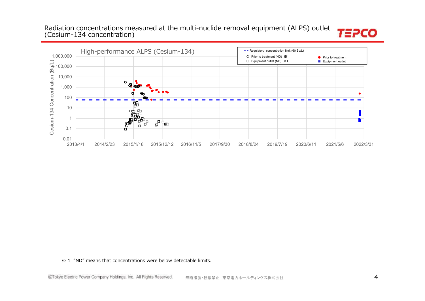# Radiation concentrations measured at the multi-nuclide removal equipment (ALPS) outlet (Cesium-134 concentration)



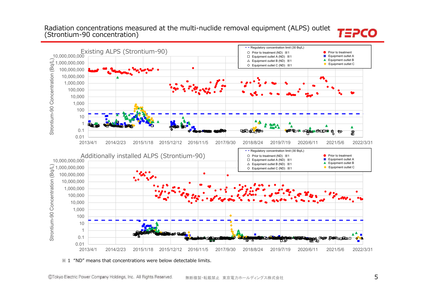### Radiation concentrations measured at the multi-nuclide removal equipment (ALPS) outlet (Strontium-90 concentration)

#### **- -** Regulatory concentration limit (30 Bq/L) 10,000,000,000 Existing ALPS (Strontium-90) **Prior to treatment** 〇 Prior to treatment (ND) ※1 ●■ Equipment outlet A □ Equipment outlet A (ND) ※1 ▲ Equipment outlet B Strontium-90 Concentration (Bq/L) △ Equipment outlet B (ND) ※1 ▲ Equipment outlet B Strontium-90 Concentration (Bq/L) 1,000,000,000 ◆ Equipment outlet C  $\Diamond$  Equipment outlet C (ND)  $\divideontimes$ 1 100,000,000 10,000,000 1,000,000 100,000 10,000 1,000 100101Ā  $\blacktriangle$ 0.1**SOLET OF OREST RELEASE & SOL TOD & PO** இ 0.012013/4/1 2014/2/23 2015/1/18 2015/12/12 2016/11/5 2017/9/30 2018/8/24 2019/7/19 2020/6/11 2021/5/6 2022/3/31**- -** Regulatory concentration limit (30 Bq/L) Additionally installed ALPS (Strontium-90) **Prior to treatment**  ●〇 Prior to treatment (ND) ※1■ Equipment outlet A 10,000,000,000 □ Equipment outlet A (ND) ※1 ▲ Equipment outlet B △ Equipment outlet B (ND) ※1 <br>
▲ Equipment outlet B Strontium-90 Concentration (Bq/L) ← Equipment outlet C 1,000,000,000  $\Diamond$  Equipment outlet C (ND)  $\divideontimes$  1 100,000,000 10,000,000 1,000,000 100,000 10,000 1,000 100 10 1  $\blacktriangle^{\blacktriangle}$ 0.1 **NACCO KROBO** A<del>n</del> Kata ⊓  $\circ$   $\circ$ 0.012013/4/1 2014/2/23 2015/1/18 2015/12/12 2016/11/5 2017/9/30 2018/8/24 2019/7/19 2020/6/11 2021/5/6 2022/3/31

#### $\frac{1}{2}$  1 "ND" means that concentrations were below detectable limits.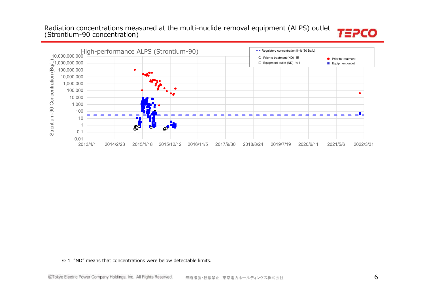# Radiation concentrations measured at the multi-nuclide removal equipment (ALPS) outlet (Strontium-90 concentration)



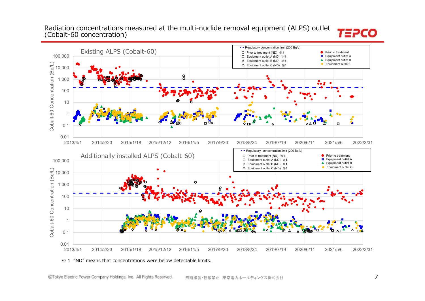### Radiation concentrations measured at the multi-nuclide removal equipment (ALPS) outlet (Cobalt-60 concentration)

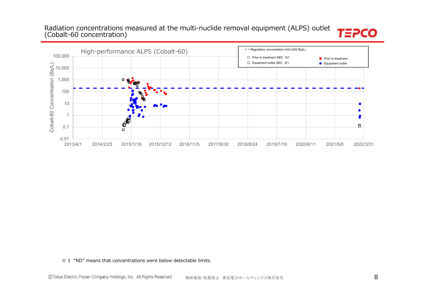# Radiation concentrations measured at the multi-nuclide removal equipment (ALPS) outlet (Cobalt-60 concentration)



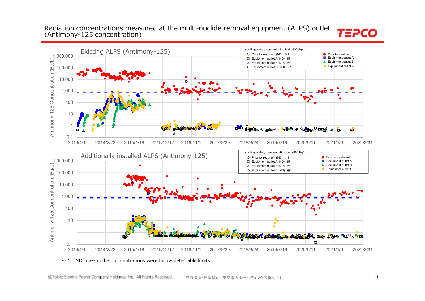### Radiation concentrations measured at the multi-nuclide removal equipment (ALPS) outlet (Antimony-125 concentration)

#### Existing ALPS (Antimony-125) **- -** Regulatory concentration limit (800 Bq/L) **Prior to treatment** 〇 Prior to treatment (ND) ※1 ●1,000,000 ■ Equipment outlet A □ Equipment outlet A (ND) ※1 Antimony-125 Concentration (Bq/L) ▲ Equipment outlet B △ Equipment outlet B (ND) ※1 ◆ Equipment outlet C  $\diamondsuit$  Equipment outlet C (ND)  $\divideontimes$ 1  $\bullet$  Equipment outlet C 100,000 10,000  $\overline{c}$ 1,000 100 10 1 DO STORE & MARIA **OF 2 A DERMARIE &**  $\uparrow$ ♦  $\lambda$ 0.1 2013/4/1 2014/2/23 2015/1/18 2015/12/12 2016/11/5 2017/9/30 2018/8/24 2019/7/19 2020/6/11 2021/5/6 2022/3/31**- -** Regulatory concentration limit (800 Bq/L) Additionally installed ALPS (Antimony-125) **Prior to treatment** 〇 Prior to treatment (ND) ※1 ●1,000,000 ■ Equipment outlet A □ Equipment outlet A (ND) ※1 Antimony-125 Concentration (Bq/L) ▲ Equipment outlet B △ Equipment outlet B (ND) ※1 ◆ Equipment outlet C  $\Diamond$  Equipment outlet C (ND)  $\divideontimes$  1 100,000 10,000 1,000 100 10 1 **CONFERENCE DESCRIPTION AND DESCRIPTION OF A STREET AND A CONFERENCE OF A STREET AND A CONFERENCE OF A STREET** 4 0.1 2013/4/1 2014/2/23 2015/1/18 2015/12/12 2016/11/5 2017/9/30 2018/8/24 2019/7/19 2020/6/11 2021/5/6 2022/3/31

#### $\frac{1}{2}$  1 "ND" means that concentrations were below detectable limits.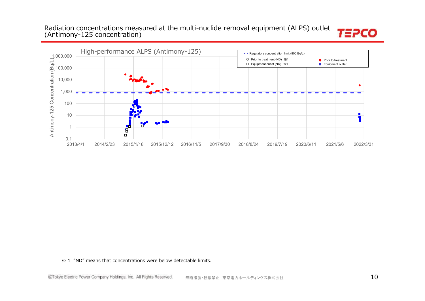# Radiation concentrations measured at the multi-nuclide removal equipment (ALPS) outlet (Antimony-125 concentration)



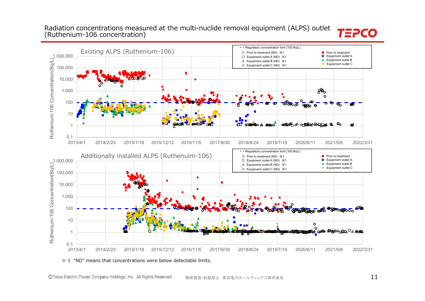### Radiation concentrations measured at the multi-nuclide removal equipment (ALPS) outlet (Ruthenium-106 concentration)



0.1 2013/4/1 2014/2/23 2015/1/18 2015/12/12 2016/11/5 2017/9/30 2018/8/24 2019/7/19 2020/6/11 2021/5/6 2022/3/31Ruthenium-106 Concentration(Bq/L)

#### $\frac{1}{2}$  1 "ND" means that concentrations were below detectable limits.

Ruthenium-106 Concentration(Bq/L)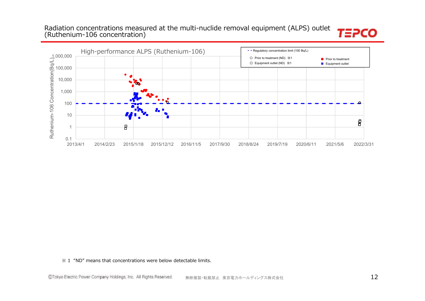# Radiation concentrations measured at the multi-nuclide removal equipment (ALPS) outlet (Ruthenium-106 concentration)



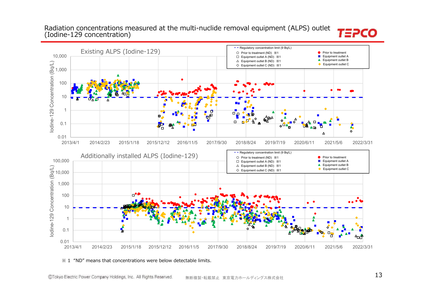### Radiation concentrations measured at the multi-nuclide removal equipment (ALPS) outlet (Iodine-129 concentration)



#### ※ 1 "ND" means that concentrations were below detectable limits.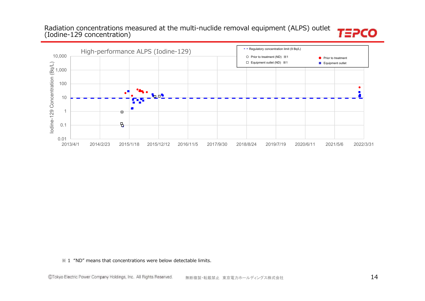### Radiation concentrations measured at the multi-nuclide removal equipment (ALPS) outlet (Iodine-129 concentration)



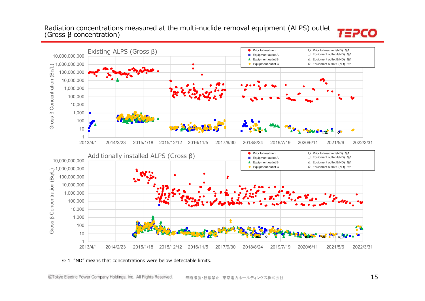### Radiation concentrations measured at the multi-nuclide removal equipment (ALPS) outlet (Gross β concentration)



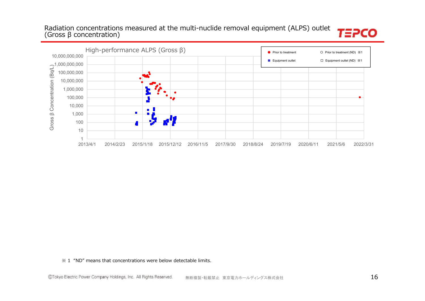# Radiation concentrations measured at the multi-nuclide removal equipment (ALPS) outlet (Gross β concentration)



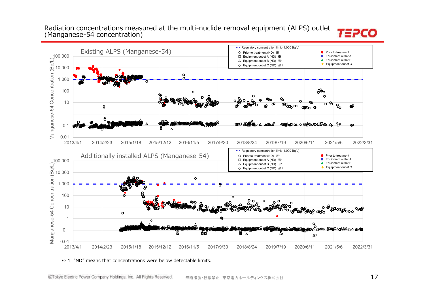### Radiation concentrations measured at the multi-nuclide removal equipment (ALPS) outlet (Manganese-54 concentration)

#### **- -** Regulatory concentration limit (1,000 Bq/L) Existing ALPS (Manganese-54) **Prior to treatment** 〇 Prior to treatment (ND) ※1 ●100,000 ■ Equipment outlet A □ Equipment outlet A (ND) ※1 Manganese-54 Concentration (Bq/L) ▲ Equipment outlet B  $\triangle$  Equipment outlet B (ND)  $\%$ 1  $\blacksquare$ ◆ Equipment outlet C  $\diamondsuit$  Equipment outlet C (ND)  $\divideontimes$ 1  $\color{red}\diamondsuit$  Equipment outlet C 10,000  $\circ$  $\sim$ 1,000  $R_0$ 100  $\Omega$ န္ထိ၀ 10 ი ზ ന ூ  $\hat{\mathbf{x}}$ 1 ௱௱ஂ௺௸௷ஂ **maan**<sup>A</sup> **CONTACT OF OPERATION CONTACT** የራ  $\bullet$ 0.1  $\lambda$ 0.01 2013/4/1 2014/2/23 2015/1/18 2015/12/12 2016/11/5 2017/9/30 2018/8/24 2019/7/19 2020/6/11 2021/5/6 2022/3/31**- -** Regulatory concentration limit (1,000 Bq/L) Additionally installed ALPS (Manganese-54) **Prior to treatment**  $\overline{1}$  and  $\overline{0}$ 〇 Prior to treatment (ND) ※1■ Equipment outlet A □ Equipment outlet A (ND) ※1 100,000 ▲ Equipment outlet B △ Equipment outlet B (ND) ※1 <br>
▲ Equipment outlet B Manganese-54 Concentration (Bq/L) ◆ Equipment outlet C ◇ Equipment outlet C (ND) ※1 10,000  $\circ$ 1,000 100  $\circ$  $\circ$ ೢೢ*ಀೲ*ೲಀೲೢೲ 10 .<br>මා<sup>ල</sup> ගෙන  $\circ$ 1 O 0.1 8ø ᄆᇖ  $\Delta$ 0.01 2013/4/1 2014/2/23 2015/1/18 2015/12/12 2016/11/5 2017/9/30 2018/8/24 2019/7/19 2020/6/11 2021/5/6 2022/3/31

#### ※ 1 "ND" means that concentrations were below detectable limits.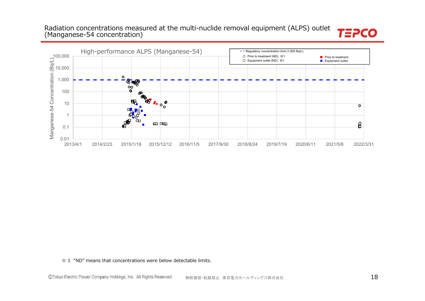### Radiation concentrations measured at the multi-nuclide removal equipment (ALPS) outlet (Manganese-54 concentration)



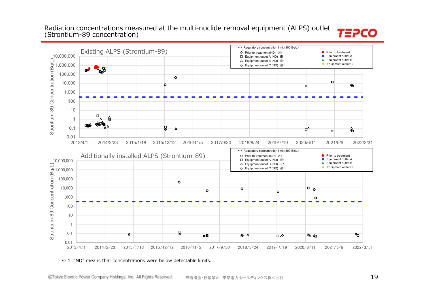### Radiation concentrations measured at the multi-nuclide removal equipment (ALPS) outlet (Strontium-89 concentration)



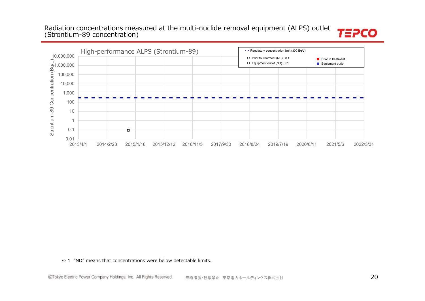# Radiation concentrations measured at the multi-nuclide removal equipment (ALPS) outlet (Strontium-89 concentration)



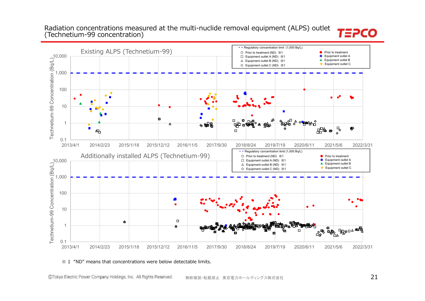### Radiation concentrations measured at the multi-nuclide removal equipment (ALPS) outlet (Technetium-99 concentration)





#### $\frac{1}{2}$  1 "ND" means that concentrations were below detectable limits.

Existing ALPS (Technetium-99)

100

1,000

10,000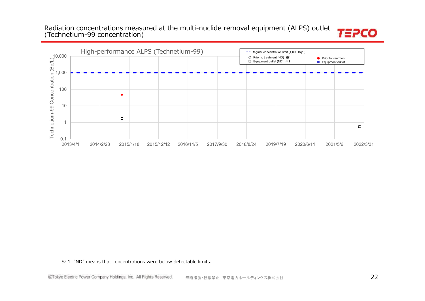### Radiation concentrations measured at the multi-nuclide removal equipment (ALPS) outlet (Technetium-99 concentration)



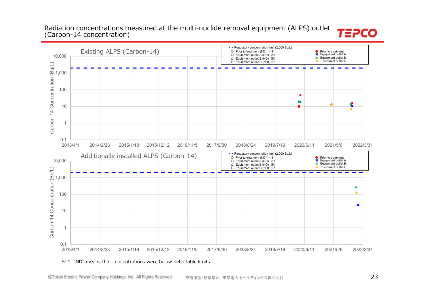### Radiation concentrations measured at the multi-nuclide removal equipment (ALPS) outlet (Carbon-14 concentration)

#### **- -** Regulatory concentration limit (2,000 Bq/L) Existing ALPS (Carbon-14) 〇 Prior to treatment (ND) ※1 $\overline{ }$ ● Prior to treatment<br>1 Equipment outlet A 10,000 □ Equipment outlet A (ND) ※1▲ Equipment outlet B  $\triangle$  Equipment outlet B (ND)  $\%$ 1 Equipment outlet C ◇ Equipment outlet C (ND) ※1Carbon-14 Concentration (Bq/L) 1,000 100 A q 10 1 0.12013/4/1 2014/2/23 2015/1/18 2015/12/12 2016/11/5 2017/9/30 2018/8/24 2019/7/19 2020/6/11 2021/5/6 2022/3/31Additionally installed ALPS (Carbon-14) **- -** Regulatory concentration limit (2,000 Bq/L)  $\overline{1}$  and  $\overline{0}$ **Prior to treatment** 〇 Prior to treatment (ND) ※110,000 ■ Equipment outlet A □ Equipment outlet A (ND) ※1 ▲ Equipment outlet B  $\triangle$  Equipment outlet B (ND)  $\%$ 1 Equipment outlet C Carbon-14 Concentration (Bq/L) ◇ Equipment outlet C (ND) ※11,000  $\blacktriangle$ 100  $\blacksquare$ 10 1 0.12013/4/1 2014/2/23 2015/1/18 2015/12/12 2016/11/5 2017/9/30 2018/8/24 2019/7/19 2020/6/11 2021/5/6 2022/3/31

#### $\frac{1}{2}$  1 "ND" means that concentrations were below detectable limits.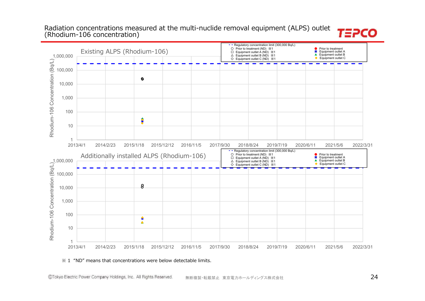#### Radiation concentrations measured at the multi-nuclide removal equipment (ALPS) outlet (Rhodium-106 concentration)



#### $\frac{1}{2}$  1 "ND" means that concentrations were below detectable limits.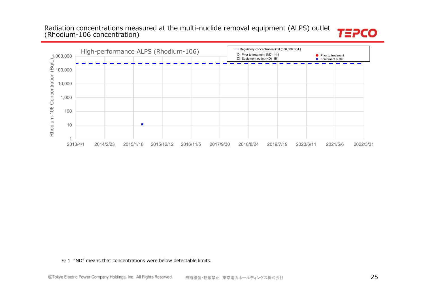### Radiation concentrations measured at the multi-nuclide removal equipment (ALPS) outlet (Rhodium-106 concentration)



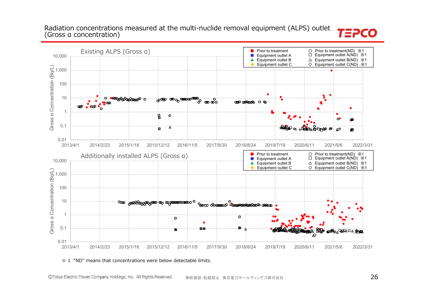### Radiation concentrations measured at the multi-nuclide removal equipment (ALPS) outlet (Gross α concentration)



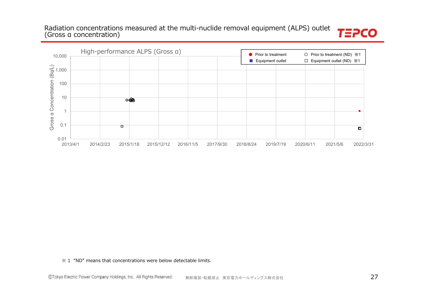Radiation concentrations measured at the multi-nuclide removal equipment (ALPS) outlet (Gross α concentration)